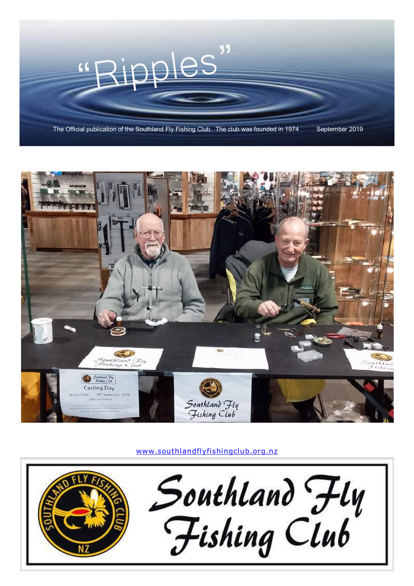



www.southlandflyfishingclub.org.nz

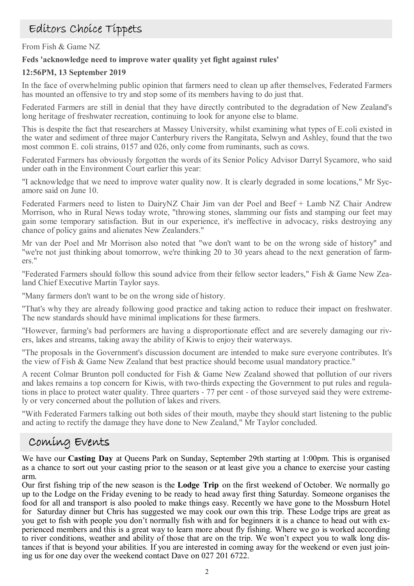## Editors Choice Tippets

From Fish & Game NZ

### **Feds 'acknowledge need to improve water quality yet fight against rules'**

### **12:56PM, 13 September 2019**

In the face of overwhelming public opinion that farmers need to clean up after themselves, Federated Farmers has mounted an offensive to try and stop some of its members having to do just that.

Federated Farmers are still in denial that they have directly contributed to the degradation of New Zealand's long heritage of freshwater recreation, continuing to look for anyone else to blame.

This is despite the fact that researchers at Massey University, whilst examining what types of E.coli existed in the water and sediment of three major Canterbury rivers the Rangitata, Selwyn and Ashley, found that the two most common E. coli strains, 0157 and 026, only come from ruminants, such as cows.

Federated Farmers has obviously forgotten the words of its Senior Policy Advisor Darryl Sycamore, who said under oath in the Environment Court earlier this year:

"I acknowledge that we need to improve water quality now. It is clearly degraded in some locations," Mr Sycamore said on June 10.

Federated Farmers need to listen to DairyNZ Chair Jim van der Poel and Beef + Lamb NZ Chair Andrew Morrison, who in Rural News today wrote, "throwing stones, slamming our fists and stamping our feet may gain some temporary satisfaction. But in our experience, it's ineffective in advocacy, risks destroying any chance of policy gains and alienates New Zealanders."

Mr van der Poel and Mr Morrison also noted that "we don't want to be on the wrong side of history" and "we're not just thinking about tomorrow, we're thinking 20 to 30 years ahead to the next generation of farmers."

"Federated Farmers should follow this sound advice from their fellow sector leaders," Fish & Game New Zealand Chief Executive Martin Taylor says.

"Many farmers don't want to be on the wrong side of history.

"That's why they are already following good practice and taking action to reduce their impact on freshwater. The new standards should have minimal implications for these farmers.

"However, farming's bad performers are having a disproportionate effect and are severely damaging our rivers, lakes and streams, taking away the ability of Kiwis to enjoy their waterways.

"The proposals in the Government's discussion document are intended to make sure everyone contributes. It's the view of Fish & Game New Zealand that best practice should become usual mandatory practice."

A recent Colmar Brunton poll conducted for Fish & Game New Zealand showed that pollution of our rivers and lakes remains a top concern for Kiwis, with two-thirds expecting the Government to put rules and regulations in place to protect water quality. Three quarters - 77 per cent - of those surveyed said they were extremely or very concerned about the pollution of lakes and rivers.

"With Federated Farmers talking out both sides of their mouth, maybe they should start listening to the public and acting to rectify the damage they have done to New Zealand," Mr Taylor concluded.

### Coming Events

We have our **Casting Day** at Queens Park on Sunday, September 29th starting at 1:00pm. This is organised as a chance to sort out your casting prior to the season or at least give you a chance to exercise your casting arm.

Our first fishing trip of the new season is the **Lodge Trip** on the first weekend of October. We normally go up to the Lodge on the Friday evening to be ready to head away first thing Saturday. Someone organises the food for all and transport is also pooled to make things easy. Recently we have gone to the Mossburn Hotel for Saturday dinner but Chris has suggested we may cook our own this trip. These Lodge trips are great as you get to fish with people you don't normally fish with and for beginners it is a chance to head out with experienced members and this is a great way to learn more about fly fishing. Where we go is worked according to river conditions, weather and ability of those that are on the trip. We won't expect you to walk long distances if that is beyond your abilities. If you are interested in coming away for the weekend or even just joining us for one day over the weekend contact Dave on 027 201 6722.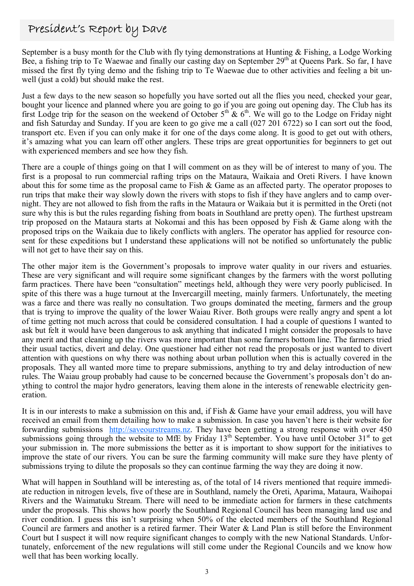## President's Report by Dave

September is a busy month for the Club with fly tying demonstrations at Hunting & Fishing, a Lodge Working Bee, a fishing trip to Te Waewae and finally our casting day on September 29<sup>th</sup> at Queens Park. So far, I have missed the first fly tying demo and the fishing trip to Te Waewae due to other activities and feeling a bit unwell (just a cold) but should make the rest.

Just a few days to the new season so hopefully you have sorted out all the flies you need, checked your gear, bought your licence and planned where you are going to go if you are going out opening day. The Club has its first Lodge trip for the season on the weekend of October  $5<sup>th</sup>$  &  $6<sup>th</sup>$ . We will go to the Lodge on Friday night and fish Saturday and Sunday. If you are keen to go give me a call (027 201 6722) so I can sort out the food, transport etc. Even if you can only make it for one of the days come along. It is good to get out with others, it's amazing what you can learn off other anglers. These trips are great opportunities for beginners to get out with experienced members and see how they fish.

There are a couple of things going on that I will comment on as they will be of interest to many of you. The first is a proposal to run commercial rafting trips on the Mataura, Waikaia and Oreti Rivers. I have known about this for some time as the proposal came to Fish & Game as an affected party. The operator proposes to run trips that make their way slowly down the rivers with stops to fish if they have anglers and to camp overnight. They are not allowed to fish from the rafts in the Mataura or Waikaia but it is permitted in the Oreti (not sure why this is but the rules regarding fishing from boats in Southland are pretty open). The furthest upstream trip proposed on the Mataura starts at Nokomai and this has been opposed by Fish & Game along with the proposed trips on the Waikaia due to likely conflicts with anglers. The operator has applied for resource consent for these expeditions but I understand these applications will not be notified so unfortunately the public will not get to have their say on this.

The other major item is the Government's proposals to improve water quality in our rivers and estuaries. These are very significant and will require some significant changes by the farmers with the worst polluting farm practices. There have been "consultation" meetings held, although they were very poorly publicised. In spite of this there was a huge turnout at the Invercargill meeting, mainly farmers. Unfortunately, the meeting was a farce and there was really no consultation. Two groups dominated the meeting, farmers and the group that is trying to improve the quality of the lower Waiau River. Both groups were really angry and spent a lot of time getting not much across that could be considered consultation. I had a couple of questions I wanted to ask but felt it would have been dangerous to ask anything that indicated I might consider the proposals to have any merit and that cleaning up the rivers was more important than some farmers bottom line. The farmers tried their usual tactics, divert and delay. One questioner had either not read the proposals or just wanted to divert attention with questions on why there was nothing about urban pollution when this is actually covered in the proposals. They all wanted more time to prepare submissions, anything to try and delay introduction of new rules. The Waiau group probably had cause to be concerned because the Government's proposals don't do anything to control the major hydro generators, leaving them alone in the interests of renewable electricity generation.

It is in our interests to make a submission on this and, if Fish & Game have your email address, you will have received an email from them detailing how to make a submission. In case you haven't here is their website for forwarding submissions http://saveourstreams.nz. They have been getting a strong response with over 450 submissions going through the website to MfE by Friday  $13<sup>th</sup>$  September. You have until October  $31<sup>st</sup>$  to get your submission in. The more submissions the better as it is important to show support for the initiatives to improve the state of our rivers. You can be sure the farming community will make sure they have plenty of submissions trying to dilute the proposals so they can continue farming the way they are doing it now.

What will happen in Southland will be interesting as, of the total of 14 rivers mentioned that require immediate reduction in nitrogen levels, five of these are in Southland, namely the Oreti, Aparima, Mataura, Waihopai Rivers and the Waimatuku Stream. There will need to be immediate action for farmers in these catchments under the proposals. This shows how poorly the Southland Regional Council has been managing land use and river condition. I guess this isn't surprising when 50% of the elected members of the Southland Regional Council are farmers and another is a retired farmer. Their Water & Land Plan is still before the Environment Court but I suspect it will now require significant changes to comply with the new National Standards. Unfortunately, enforcement of the new regulations will still come under the Regional Councils and we know how well that has been working locally.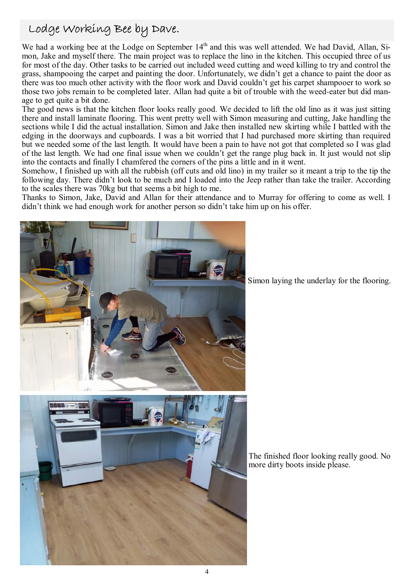## Lodge Working Bee by Dave.

We had a working bee at the Lodge on September 14<sup>th</sup> and this was well attended. We had David, Allan, Simon, Jake and myself there. The main project was to replace the lino in the kitchen. This occupied three of us for most of the day. Other tasks to be carried out included weed cutting and weed killing to try and control the grass, shampooing the carpet and painting the door. Unfortunately, we didn't get a chance to paint the door as there was too much other activity with the floor work and David couldn't get his carpet shampooer to work so those two jobs remain to be completed later. Allan had quite a bit of trouble with the weed-eater but did manage to get quite a bit done.

The good news is that the kitchen floor looks really good. We decided to lift the old lino as it was just sitting there and install laminate flooring. This went pretty well with Simon measuring and cutting, Jake handling the sections while I did the actual installation. Simon and Jake then installed new skirting while I battled with the edging in the doorways and cupboards. I was a bit worried that I had purchased more skirting than required but we needed some of the last length. It would have been a pain to have not got that completed so I was glad of the last length. We had one final issue when we couldn't get the range plug back in. It just would not slip into the contacts and finally I chamfered the corners of the pins a little and in it went.

Somehow, I finished up with all the rubbish (off cuts and old lino) in my trailer so it meant a trip to the tip the following day. There didn't look to be much and I loaded into the Jeep rather than take the trailer. According to the scales there was 70kg but that seems a bit high to me.

Thanks to Simon, Jake, David and Allan for their attendance and to Murray for offering to come as well. I didn't think we had enough work for another person so didn't take him up on his offer.



Simon laying the underlay for the flooring.

The finished floor looking really good. No more dirty boots inside please.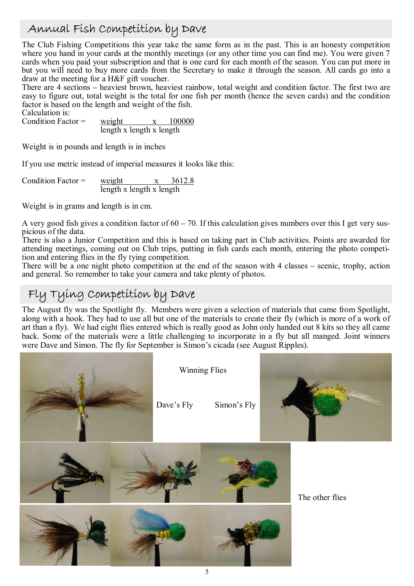## Annual Fish Competition by Dave

The Club Fishing Competitions this year take the same form as in the past. This is an honesty competition where you hand in your cards at the monthly meetings (or any other time you can find me). You were given 7 cards when you paid your subscription and that is one card for each month of the season. You can put more in but you will need to buy more cards from the Secretary to make it through the season. All cards go into a draw at the meeting for a H&F gift voucher.

There are 4 sections – heaviest brown, heaviest rainbow, total weight and condition factor. The first two are easy to figure out, total weight is the total for one fish per month (hence the seven cards) and the condition factor is based on the length and weight of the fish.

Calculation is:<br>Condition Factor =

Condition Factor =  $weight$  x  $100000$ length x length x length

Weight is in pounds and length is in inches

If you use metric instead of imperial measures it looks like this:

Condition Factor =  $weight$  x 3612.8 length x length x length

Weight is in grams and length is in cm.

A very good fish gives a condition factor of  $60 - 70$ . If this calculation gives numbers over this I get very suspicious of the data.

There is also a Junior Competition and this is based on taking part in Club activities. Points are awarded for attending meetings, coming out on Club trips, putting in fish cards each month, entering the photo competition and entering flies in the fly tying competition.

There will be a one night photo competition at the end of the season with 4 classes – scenic, trophy, action and general. So remember to take your camera and take plenty of photos.

## Fly Tying Competition by Dave

The August fly was the Spotlight fly. Members were given a selection of materials that came from Spotlight, along with a hook. They had to use all but one of the materials to create their fly (which is more of a work of art than a fly). We had eight flies entered which is really good as John only handed out 8 kits so they all came back. Some of the materials were a little challenging to incorporate in a fly but all manged. Joint winners were Dave and Simon. The fly for September is Simon's cicada (see August Ripples).

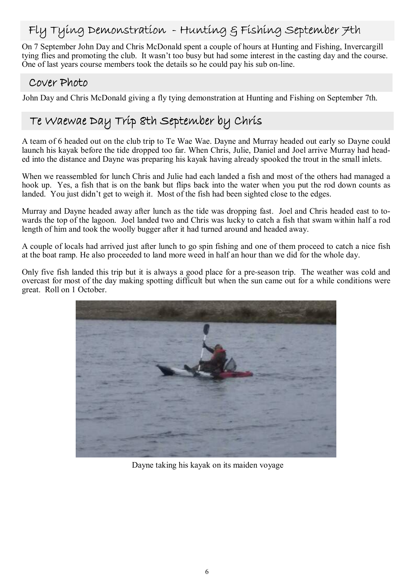## Fly Tying Demonstration - Hunting & Fishing September 7th

On 7 September John Day and Chris McDonald spent a couple of hours at Hunting and Fishing, Invercargill tying flies and promoting the club. It wasn't too busy but had some interest in the casting day and the course. One of last years course members took the details so he could pay his sub on-line.

### Cover Photo

John Day and Chris McDonald giving a fly tying demonstration at Hunting and Fishing on September 7th.

# Te Waewae Day Trip 8th September by Chris

A team of 6 headed out on the club trip to Te Wae Wae. Dayne and Murray headed out early so Dayne could launch his kayak before the tide dropped too far. When Chris, Julie, Daniel and Joel arrive Murray had headed into the distance and Dayne was preparing his kayak having already spooked the trout in the small inlets.

When we reassembled for lunch Chris and Julie had each landed a fish and most of the others had managed a hook up. Yes, a fish that is on the bank but flips back into the water when you put the rod down counts as landed. You just didn't get to weigh it. Most of the fish had been sighted close to the edges.

Murray and Dayne headed away after lunch as the tide was dropping fast. Joel and Chris headed east to towards the top of the lagoon. Joel landed two and Chris was lucky to catch a fish that swam within half a rod length of him and took the woolly bugger after it had turned around and headed away.

A couple of locals had arrived just after lunch to go spin fishing and one of them proceed to catch a nice fish at the boat ramp. He also proceeded to land more weed in half an hour than we did for the whole day.

Only five fish landed this trip but it is always a good place for a pre-season trip. The weather was cold and overcast for most of the day making spotting difficult but when the sun came out for a while conditions were great. Roll on 1 October.



Dayne taking his kayak on its maiden voyage